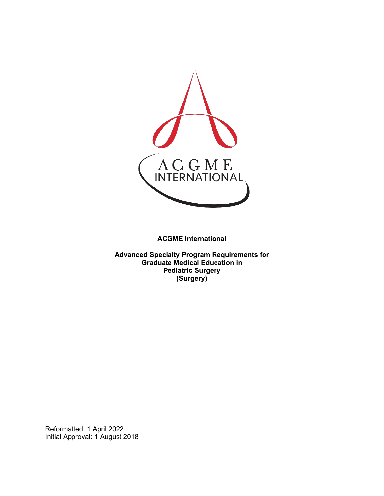

**ACGME International** 

**Advanced Specialty Program Requirements for Graduate Medical Education in Pediatric Surgery (Surgery)**

Reformatted: 1 April 2022 Initial Approval: 1 August 2018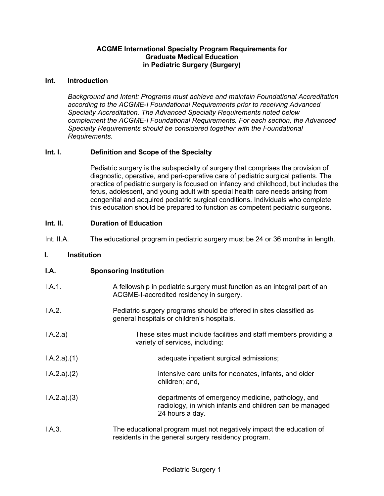## **ACGME International Specialty Program Requirements for Graduate Medical Education in Pediatric Surgery (Surgery)**

### **Int. Introduction**

*Background and Intent: Programs must achieve and maintain Foundational Accreditation according to the ACGME-I Foundational Requirements prior to receiving Advanced Specialty Accreditation. The Advanced Specialty Requirements noted below complement the ACGME-I Foundational Requirements. For each section, the Advanced Specialty Requirements should be considered together with the Foundational Requirements.*

## **Int. I. Definition and Scope of the Specialty**

Pediatric surgery is the subspecialty of surgery that comprises the provision of diagnostic, operative, and peri-operative care of pediatric surgical patients. The practice of pediatric surgery is focused on infancy and childhood, but includes the fetus, adolescent, and young adult with special health care needs arising from congenital and acquired pediatric surgical conditions. Individuals who complete this education should be prepared to function as competent pediatric surgeons.

## **Int. II. Duration of Education**

Int. II.A. The educational program in pediatric surgery must be 24 or 36 months in length.

#### **I. Institution**

| I.A. | <b>Sponsoring Institution</b> |  |
|------|-------------------------------|--|
|------|-------------------------------|--|

| I.A.1.      | A fellowship in pediatric surgery must function as an integral part of an<br>ACGME-I-accredited residency in surgery.           |
|-------------|---------------------------------------------------------------------------------------------------------------------------------|
| I.A.2.      | Pediatric surgery programs should be offered in sites classified as<br>general hospitals or children's hospitals.               |
| I.A.2.a)    | These sites must include facilities and staff members providing a<br>variety of services, including:                            |
| I.A.2.a)(1) | adequate inpatient surgical admissions;                                                                                         |
| I.A.2.a)(2) | intensive care units for neonates, infants, and older<br>children; and,                                                         |
| I.A.2.a)(3) | departments of emergency medicine, pathology, and<br>radiology, in which infants and children can be managed<br>24 hours a day. |
| I.A.3.      | The educational program must not negatively impact the education of<br>residents in the general surgery residency program.      |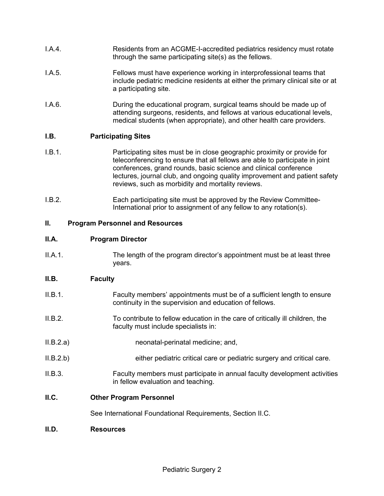- I.A.4. Residents from an ACGME-I-accredited pediatrics residency must rotate through the same participating site(s) as the fellows.
- I.A.5. Fellows must have experience working in interprofessional teams that include pediatric medicine residents at either the primary clinical site or at a participating site.
- I.A.6. During the educational program, surgical teams should be made up of attending surgeons, residents, and fellows at various educational levels, medical students (when appropriate), and other health care providers.

## **I.B. Participating Sites**

- I.B.1. Participating sites must be in close geographic proximity or provide for teleconferencing to ensure that all fellows are able to participate in joint conferences, grand rounds, basic science and clinical conference lectures, journal club, and ongoing quality improvement and patient safety reviews, such as morbidity and mortality reviews.
- I.B.2. Each participating site must be approved by the Review Committee-International prior to assignment of any fellow to any rotation(s).

## **II. Program Personnel and Resources**

### **II.A. Program Director**

II.A.1. The length of the program director's appointment must be at least three years.

## **II.B. Faculty**

- II.B.1. Faculty members' appointments must be of a sufficient length to ensure continuity in the supervision and education of fellows.
- II.B.2. To contribute to fellow education in the care of critically ill children, the faculty must include specialists in:
- II.B.2.a) neonatal-perinatal medicine; and,
- II.B.2.b) either pediatric critical care or pediatric surgery and critical care.
- II.B.3. Faculty members must participate in annual faculty development activities in fellow evaluation and teaching.

## **II.C. Other Program Personnel**

See International Foundational Requirements, Section II.C.

#### **II.D. Resources**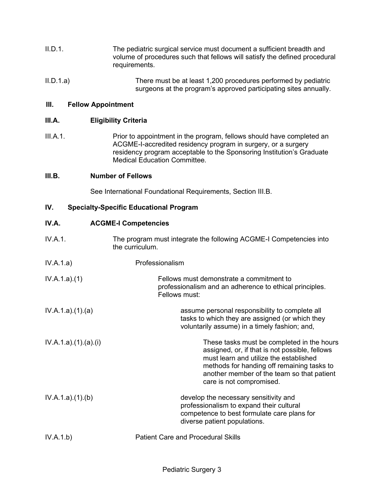- II.D.1. The pediatric surgical service must document a sufficient breadth and volume of procedures such that fellows will satisfy the defined procedural requirements.
- II.D.1.a) There must be at least 1,200 procedures performed by pediatric surgeons at the program's approved participating sites annually.

### **III. Fellow Appointment**

### **III.A. Eligibility Criteria**

III.A.1. Prior to appointment in the program, fellows should have completed an ACGME-I-accredited residency program in surgery, or a surgery residency program acceptable to the Sponsoring Institution's Graduate Medical Education Committee.

#### **III.B. Number of Fellows**

See International Foundational Requirements, Section III.B.

### **IV. Specialty-Specific Educational Program**

### **IV.A. ACGME-I Competencies**

- IV.A.1. The program must integrate the following ACGME-I Competencies into the curriculum.
- IV.A.1.a) Professionalism
- IV.A.1.a).(1) Fellows must demonstrate a commitment to professionalism and an adherence to ethical principles. Fellows must:
- IV.A.1.a).(1).(a) assume personal responsibility to complete all tasks to which they are assigned (or which they voluntarily assume) in a timely fashion; and,
- IV.A.1.a).(1).(a).(i) These tasks must be completed in the hours assigned, or, if that is not possible, fellows must learn and utilize the established methods for handing off remaining tasks to another member of the team so that patient care is not compromised.
- IV.A.1.a).(1).(b) develop the necessary sensitivity and professionalism to expand their cultural competence to best formulate care plans for diverse patient populations.

| IV.A.1.b) | <b>Patient Care and Procedural Skills</b> |  |
|-----------|-------------------------------------------|--|
|           |                                           |  |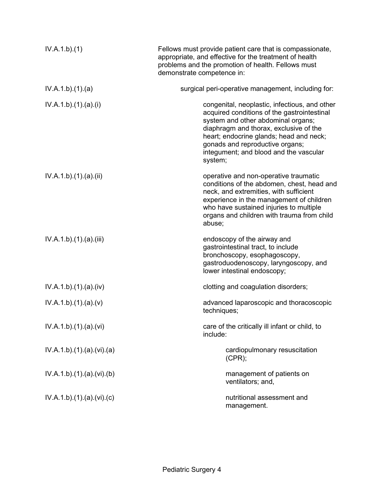| IV.A.1.b)(1)           | Fellows must provide patient care that is compassionate,<br>appropriate, and effective for the treatment of health<br>problems and the promotion of health. Fellows must<br>demonstrate competence in:                                                                                                          |
|------------------------|-----------------------------------------------------------------------------------------------------------------------------------------------------------------------------------------------------------------------------------------------------------------------------------------------------------------|
| IV.A.1.b)(1)(a)        | surgical peri-operative management, including for:                                                                                                                                                                                                                                                              |
| IV.A.1.b)(1)(a)(i)     | congenital, neoplastic, infectious, and other<br>acquired conditions of the gastrointestinal<br>system and other abdominal organs;<br>diaphragm and thorax, exclusive of the<br>heart; endocrine glands; head and neck;<br>gonads and reproductive organs;<br>integument; and blood and the vascular<br>system; |
| IV.A.1.b)(1)(a)(ii)    | operative and non-operative traumatic<br>conditions of the abdomen, chest, head and<br>neck, and extremities, with sufficient<br>experience in the management of children<br>who have sustained injuries to multiple<br>organs and children with trauma from child<br>abuse;                                    |
| IV.A.1.b)(1)(a)(iii)   | endoscopy of the airway and<br>gastrointestinal tract, to include<br>bronchoscopy, esophagoscopy,<br>gastroduodenoscopy, laryngoscopy, and<br>lower intestinal endoscopy;                                                                                                                                       |
| IV.A.1.b)(1)(a)(iv)    | clotting and coagulation disorders;                                                                                                                                                                                                                                                                             |
| IV.A.1.b)(1)(a)(v)     | advanced laparoscopic and thoracoscopic<br>techniques;                                                                                                                                                                                                                                                          |
| IV.A.1.b).(1).(a).(vi) | care of the critically ill infant or child, to<br>include:                                                                                                                                                                                                                                                      |
| IV.A.1.b)(1)(a)(vi)(a) | cardiopulmonary resuscitation<br>(CPR);                                                                                                                                                                                                                                                                         |
| IV.A.1.b)(1)(a)(vi)(b) | management of patients on<br>ventilators; and,                                                                                                                                                                                                                                                                  |
| IV.A.1.b)(1)(a)(vi)(c) | nutritional assessment and<br>management.                                                                                                                                                                                                                                                                       |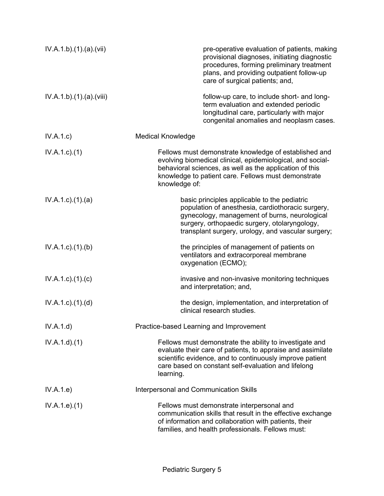| IV.A.1.b).(1).(a).(vii)   | pre-operative evaluation of patients, making<br>provisional diagnoses, initiating diagnostic<br>procedures, forming preliminary treatment<br>plans, and providing outpatient follow-up<br>care of surgical patients; and,                                 |  |
|---------------------------|-----------------------------------------------------------------------------------------------------------------------------------------------------------------------------------------------------------------------------------------------------------|--|
| IV.A.1.b)(1)(a)(viii)     | follow-up care, to include short- and long-<br>term evaluation and extended periodic<br>longitudinal care, particularly with major<br>congenital anomalies and neoplasm cases.                                                                            |  |
| IV.A.1.c)                 | <b>Medical Knowledge</b>                                                                                                                                                                                                                                  |  |
| $IV.A.1.c.$ (1)           | Fellows must demonstrate knowledge of established and<br>evolving biomedical clinical, epidemiological, and social-<br>behavioral sciences, as well as the application of this<br>knowledge to patient care. Fellows must demonstrate<br>knowledge of:    |  |
| IV.A.1.c.1(1).(a)         | basic principles applicable to the pediatric<br>population of anesthesia, cardiothoracic surgery,<br>gynecology, management of burns, neurological<br>surgery, orthopaedic surgery, otolaryngology,<br>transplant surgery, urology, and vascular surgery; |  |
| $IV.A.1.c.$ (1).(b)       | the principles of management of patients on<br>ventilators and extracorporeal membrane<br>oxygenation (ECMO);                                                                                                                                             |  |
| IV.A.1.c)(1)(c)           | invasive and non-invasive monitoring techniques<br>and interpretation; and,                                                                                                                                                                               |  |
| $IV.A.1.c$ . $(1).$ $(d)$ | the design, implementation, and interpretation of<br>clinical research studies.                                                                                                                                                                           |  |
| IV.A.1.d)                 | Practice-based Learning and Improvement                                                                                                                                                                                                                   |  |
| IV.A.1.d)(1)              | Fellows must demonstrate the ability to investigate and<br>evaluate their care of patients, to appraise and assimilate<br>scientific evidence, and to continuously improve patient<br>care based on constant self-evaluation and lifelong<br>learning.    |  |
| IV.A.1.e)                 | Interpersonal and Communication Skills                                                                                                                                                                                                                    |  |
| IV.A.1.e. (1)             | Fellows must demonstrate interpersonal and<br>communication skills that result in the effective exchange<br>of information and collaboration with patients, their<br>families, and health professionals. Fellows must:                                    |  |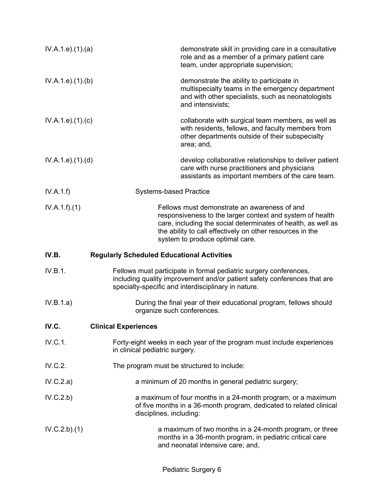| IV.A.1.e. (1). (a) | demonstrate skill in providing care in a consultative<br>role and as a member of a primary patient care<br>team, under appropriate supervision;                                                                                                                            |
|--------------------|----------------------------------------------------------------------------------------------------------------------------------------------------------------------------------------------------------------------------------------------------------------------------|
| IV.A.1.e. (1)(b)   | demonstrate the ability to participate in<br>multispecialty teams in the emergency department<br>and with other specialists, such as neonatologists<br>and intensivists;                                                                                                   |
| IV.A.1.e).(1).(c)  | collaborate with surgical team members, as well as<br>with residents, fellows, and faculty members from<br>other departments outside of their subspecialty<br>area; and,                                                                                                   |
| IV.A.1.e. (1). (d) | develop collaborative relationships to deliver patient<br>care with nurse practitioners and physicians<br>assistants as important members of the care team.                                                                                                                |
| IV.A.1.f           | <b>Systems-based Practice</b>                                                                                                                                                                                                                                              |
| IV.A.1.f)(1)       | Fellows must demonstrate an awareness of and<br>responsiveness to the larger context and system of health<br>care, including the social determinates of health, as well as<br>the ability to call effectively on other resources in the<br>system to produce optimal care. |
| IV.B.              | <b>Regularly Scheduled Educational Activities</b>                                                                                                                                                                                                                          |
| IV.B.1.            | Fellows must participate in formal pediatric surgery conferences,<br>including quality improvement and/or patient safety conferences that are<br>specialty-specific and interdisciplinary in nature.                                                                       |
| IV.B.1.a)          | During the final year of their educational program, fellows should<br>organize such conferences.                                                                                                                                                                           |
| IV.C.              | <b>Clinical Experiences</b>                                                                                                                                                                                                                                                |
| IV.C.1.            | Forty-eight weeks in each year of the program must include experiences<br>in clinical pediatric surgery.                                                                                                                                                                   |
| IV.C.2.            | The program must be structured to include:                                                                                                                                                                                                                                 |
| IV.C.2.a)          | a minimum of 20 months in general pediatric surgery;                                                                                                                                                                                                                       |
| IV.C.2.b)          | a maximum of four months in a 24-month program, or a maximum<br>of five months in a 36-month program, dedicated to related clinical<br>disciplines, including:                                                                                                             |
| IV.C.2.b)(1)       | a maximum of two months in a 24-month program, or three<br>months in a 36-month program, in pediatric critical care<br>and neonatal intensive care; and,                                                                                                                   |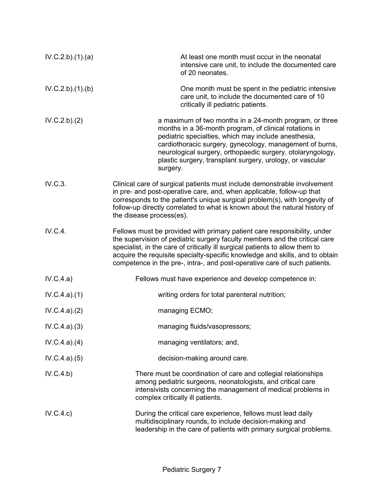| IV.C.2.b)(1)(a) | At least one month must occur in the neonatal<br>intensive care unit, to include the documented care<br>of 20 neonates.                                                                                                                                                                                                                                                                             |
|-----------------|-----------------------------------------------------------------------------------------------------------------------------------------------------------------------------------------------------------------------------------------------------------------------------------------------------------------------------------------------------------------------------------------------------|
| IV.C.2.b)(1)(b) | One month must be spent in the pediatric intensive<br>care unit, to include the documented care of 10<br>critically ill pediatric patients.                                                                                                                                                                                                                                                         |
| IV.C.2.b)(2)    | a maximum of two months in a 24-month program, or three<br>months in a 36-month program, of clinical rotations in<br>pediatric specialties, which may include anesthesia,<br>cardiothoracic surgery, gynecology, management of burns,<br>neurological surgery, orthopaedic surgery, otolaryngology,<br>plastic surgery, transplant surgery, urology, or vascular<br>surgery.                        |
| IV.C.3.         | Clinical care of surgical patients must include demonstrable involvement<br>in pre- and post-operative care, and, when applicable, follow-up that<br>corresponds to the patient's unique surgical problem(s), with longevity of<br>follow-up directly correlated to what is known about the natural history of<br>the disease process(es).                                                          |
| IV.C.4.         | Fellows must be provided with primary patient care responsibility, under<br>the supervision of pediatric surgery faculty members and the critical care<br>specialist, in the care of critically ill surgical patients to allow them to<br>acquire the requisite specialty-specific knowledge and skills, and to obtain<br>competence in the pre-, intra-, and post-operative care of such patients. |
| IV.C.4.a)       | Fellows must have experience and develop competence in:                                                                                                                                                                                                                                                                                                                                             |
| IV.C.4.a)(1)    | writing orders for total parenteral nutrition;                                                                                                                                                                                                                                                                                                                                                      |
| IV.C.4.a)(2)    | managing ECMO;                                                                                                                                                                                                                                                                                                                                                                                      |
| IV.C.4.a)(3)    | managing fluids/vasopressors;                                                                                                                                                                                                                                                                                                                                                                       |
| IV.C.4.a)(4)    | managing ventilators; and,                                                                                                                                                                                                                                                                                                                                                                          |
| IV.C.4.a)(5)    | decision-making around care.                                                                                                                                                                                                                                                                                                                                                                        |
| IV.C.4.b)       | There must be coordination of care and collegial relationships<br>among pediatric surgeons, neonatologists, and critical care<br>intensivists concerning the management of medical problems in<br>complex critically ill patients.                                                                                                                                                                  |
| IV.C.4.c)       | During the critical care experience, fellows must lead daily<br>multidisciplinary rounds, to include decision-making and<br>leadership in the care of patients with primary surgical problems.                                                                                                                                                                                                      |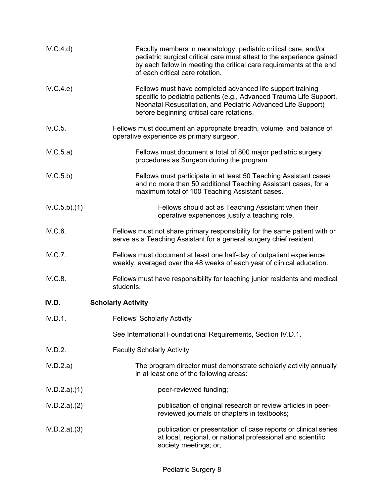| IV.C.4.d)    | Faculty members in neonatology, pediatric critical care, and/or<br>pediatric surgical critical care must attest to the experience gained<br>by each fellow in meeting the critical care requirements at the end<br>of each critical care rotation. |
|--------------|----------------------------------------------------------------------------------------------------------------------------------------------------------------------------------------------------------------------------------------------------|
| IV.C.4.e)    | Fellows must have completed advanced life support training<br>specific to pediatric patients (e.g., Advanced Trauma Life Support,<br>Neonatal Resuscitation, and Pediatric Advanced Life Support)<br>before beginning critical care rotations.     |
| IV.C.5.      | Fellows must document an appropriate breadth, volume, and balance of<br>operative experience as primary surgeon.                                                                                                                                   |
| IV.C.5.a)    | Fellows must document a total of 800 major pediatric surgery<br>procedures as Surgeon during the program.                                                                                                                                          |
| IV.C.5.b)    | Fellows must participate in at least 50 Teaching Assistant cases<br>and no more than 50 additional Teaching Assistant cases, for a<br>maximum total of 100 Teaching Assistant cases.                                                               |
| IV.C.5.b)(1) | Fellows should act as Teaching Assistant when their<br>operative experiences justify a teaching role.                                                                                                                                              |
| IV.C.6.      | Fellows must not share primary responsibility for the same patient with or<br>serve as a Teaching Assistant for a general surgery chief resident.                                                                                                  |
| IV.C.7.      | Fellows must document at least one half-day of outpatient experience<br>weekly, averaged over the 48 weeks of each year of clinical education.                                                                                                     |
| IV.C.8.      | Fellows must have responsibility for teaching junior residents and medical<br>students.                                                                                                                                                            |
| IV.D.        | <b>Scholarly Activity</b>                                                                                                                                                                                                                          |
| IV.D.1.      | <b>Fellows' Scholarly Activity</b>                                                                                                                                                                                                                 |
|              | See International Foundational Requirements, Section IV.D.1.                                                                                                                                                                                       |
| IV.D.2.      | <b>Faculty Scholarly Activity</b>                                                                                                                                                                                                                  |
| IV.D.2.a)    | The program director must demonstrate scholarly activity annually<br>in at least one of the following areas:                                                                                                                                       |
| IV.D.2.a)(1) | peer-reviewed funding;                                                                                                                                                                                                                             |
| IV.D.2.a)(2) | publication of original research or review articles in peer-<br>reviewed journals or chapters in textbooks;                                                                                                                                        |
| IV.D.2.a)(3) | publication or presentation of case reports or clinical series<br>at local, regional, or national professional and scientific<br>society meetings; or,                                                                                             |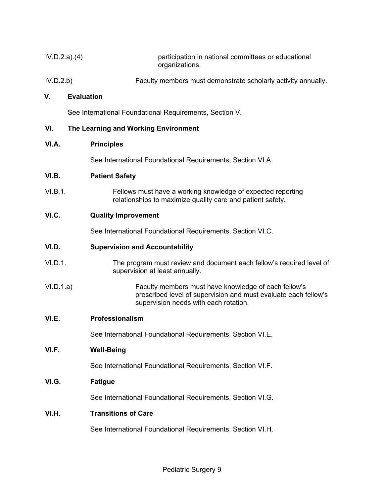| IV.D.2.a)(4) |                                      | participation in national committees or educational<br>organizations. |
|--------------|--------------------------------------|-----------------------------------------------------------------------|
| IV.D.2.b)    |                                      | Faculty members must demonstrate scholarly activity annually.         |
| V.           | <b>Evaluation</b>                    |                                                                       |
|              |                                      | See International Foundational Requirements, Section V.               |
| VI.          | The Learning and Working Environment |                                                                       |
| VI.A.        | <b>Principles</b>                    |                                                                       |

See International Foundational Requirements, Section VI.A.

# **VI.B. Patient Safety**

VI.B.1. Fellows must have a working knowledge of expected reporting relationships to maximize quality care and patient safety.

# **VI.C. Quality Improvement**

See International Foundational Requirements, Section VI.C.

## **VI.D. Supervision and Accountability**

- VI.D.1. The program must review and document each fellow's required level of supervision at least annually.
- VI.D.1.a) Faculty members must have knowledge of each fellow's prescribed level of supervision and must evaluate each fellow's supervision needs with each rotation.

# **VI.E. Professionalism**

See International Foundational Requirements, Section VI.E.

# **VI.F. Well-Being**

See International Foundational Requirements, Section VI.F.

# **VI.G. Fatigue**

See International Foundational Requirements, Section VI.G.

# **VI.H. Transitions of Care**

See International Foundational Requirements, Section VI.H.